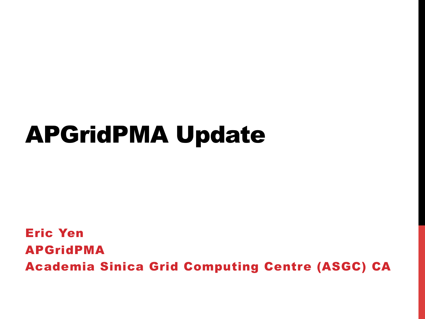## APGridPMA Update

Eric Yen APGridPMA Academia Sinica Grid Computing Centre (ASGC) CA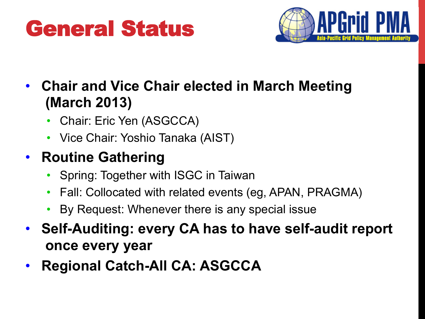#### General Status-



- **Chair and Vice Chair elected in March Meeting (March 2013)** 
	- Chair: Eric Yen (ASGCCA)
	- Vice Chair: Yoshio Tanaka (AIST)

#### • **Routine Gathering**

- Spring: Together with ISGC in Taiwan
- Fall: Collocated with related events (eg, APAN, PRAGMA)
- By Request: Whenever there is any special issue
- **Self-Auditing: every CA has to have self-audit report once every year**
- **Regional Catch-All CA: ASGCCA**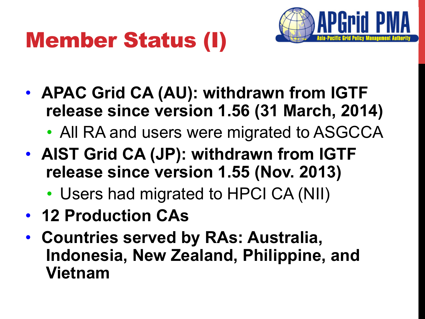## Member Status (I)



- **APAC Grid CA (AU): withdrawn from IGTF release since version 1.56 (31 March, 2014)** 
	- All RA and users were migrated to ASGCCA
- **AIST Grid CA (JP): withdrawn from IGTF release since version 1.55 (Nov. 2013)** 
	- Users had migrated to HPCI CA (NII)
- **12 Production CAs**
- **Countries served by RAs: Australia, Indonesia, New Zealand, Philippine, and Vietnam**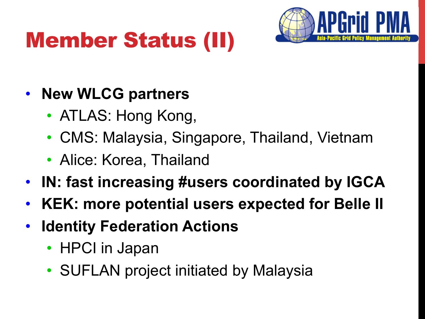# Member Status (II)



#### • **New WLCG partners**

- ATLAS: Hong Kong,
- CMS: Malaysia, Singapore, Thailand, Vietnam
- Alice: Korea, Thailand
- **IN: fast increasing #users coordinated by IGCA**
- **KEK: more potential users expected for Belle II**
- **Identity Federation Actions** 
	- HPCI in Japan
	- SUFLAN project initiated by Malaysia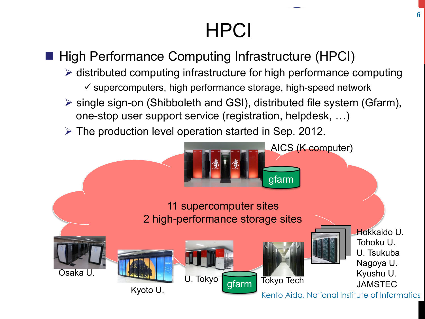### **HPCI**

#### ■ High Performance Computing Infrastructure (HPCI)

- $\triangleright$  distributed computing infrastructure for high performance computing  $\checkmark$  supercomputers, high performance storage, high-speed network
- $\triangleright$  single sign-on (Shibboleth and GSI), distributed file system (Gfarm), one-stop user support service (registration, helpdesk, …)
- $\triangleright$  The production level operation started in Sep. 2012.